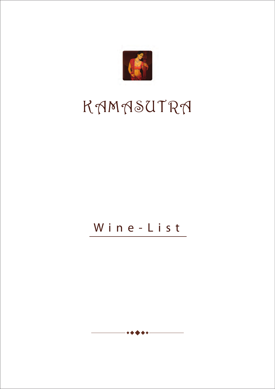

# KAMASUTRA

# W ine-List

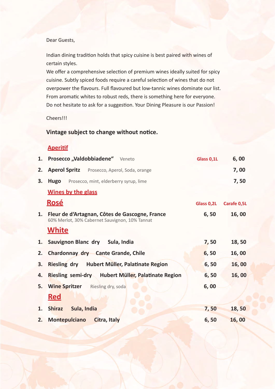#### Dear Guests,

Indian dining tradition holds that spicy cuisine is best paired with wines of certain styles.

We offer a comprehensive selection of premium wines ideally suited for spicy cuisine. Subtly spiced foods require a careful selection of wines that do not overpower the flavours. Full flavoured but low-tannic wines dominate our list. From aromatic whites to robust reds, there is something here for everyone. Do not hesitate to ask for a suggestion. Your Dining Pleasure is our Passion!

Cheers!!!

#### **Vintage subject to change without notice.**

#### **Aperitif**

|    | 1. Prosecco "Valdobbiadene" Veneto                                                               | Glass 0,1L | 6,00               |
|----|--------------------------------------------------------------------------------------------------|------------|--------------------|
| 2. | <b>Aperol Spritz</b> Prosecco, Aperol, Soda, orange                                              |            | 7,00               |
| 3. | <b>Hugo</b><br>Prosecco, mint, elderberry syrup, lime                                            |            | 7,50               |
|    | <b>Wines by the glass</b>                                                                        |            |                    |
|    | <u>Rosé</u>                                                                                      | Glass 0,2L | <b>Carafe 0,5L</b> |
| 1. | Fleur de d'Artagnan, Côtes de Gascogne, France<br>60% Merlot, 30% Cabernet Sauvignon, 10% Tannat | 6,50       | 16,00              |
|    | <b>White</b>                                                                                     |            |                    |
| 1. | Sauvignon Blanc dry Sula, India                                                                  | 7,50       | 18,50              |
| 2. | Chardonnay dry Cante Grande, Chile                                                               | 6, 50      | 16,00              |
| 3. | Riesling dry Hubert Müller, Palatinate Region                                                    | 6, 50      | 16,00              |
| 4. | Riesling semi-dry Hubert Müller, Palatinate Region                                               | 6, 50      | 16,00              |
| 5. | <b>Wine Spritzer</b> Riesling dry, soda                                                          | 6,00       |                    |
|    | <u>Red</u>                                                                                       |            |                    |
| 1. | <b>Shiraz</b><br>Sula, India                                                                     | 7,50       | 18,50              |
| 2. | Montepulciano<br>Citra, Italy                                                                    | 6,50       | 16,00              |
|    |                                                                                                  |            |                    |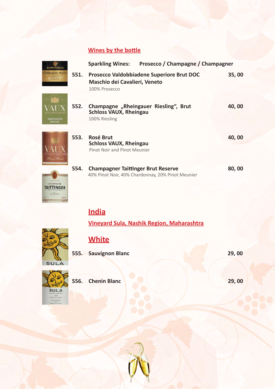#### **Wines by the bottle**

|      | Prosecco / Champagne / Champagner<br><b>Sparkling Wines:</b>                                       |       |
|------|----------------------------------------------------------------------------------------------------|-------|
| 551. | Prosecco Valdobbiadene Superiore Brut DOC<br><b>Maschio dei Cavalieri, Veneto</b><br>100% Prosecco | 35,00 |
| 552. | Champagne "Rheingauer Riesling", Brut<br><b>Schloss VAUX, Rheingau</b><br>100% Riesling            | 40,00 |
| 553. | <b>Rosé Brut</b><br><b>Schloss VAUX, Rheingau</b><br><b>Pinot Noir and Pinot Meunier</b>           | 40,00 |
| 554. | <b>Champagner Taittinger Brut Reserve</b><br>40% Pinot Noir, 40% Chardonnay, 20% Pinot Meunier     | 80,00 |

# **India**

**Vineyard Sula, Nashik Region, Maharashtra**



**CHAMPAGNE**  $-18$ 

308814

## **White**

**555. Sauvignon Blanc 29, 00** 



**556. Chenin Blanc 29, 00**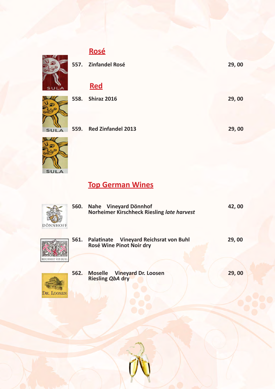# **Rosé**

|          |      | 557. Zinfandel Rosé       | 29,00 |
|----------|------|---------------------------|-------|
|          |      | <b>Red</b>                |       |
|          | 558. | <b>Shiraz 2016</b>        | 29,00 |
|          |      |                           |       |
| $\Delta$ | 559. | <b>Red Zinfandel 2013</b> | 29,00 |
|          |      |                           |       |

**Top German Wines**

| DÖNNHOFF   | <b>560.</b> | Nahe Vineyard Dönnhof<br>Norheimer Kirschheck Riesling late harvest | 42,00 |
|------------|-------------|---------------------------------------------------------------------|-------|
|            | 561.        | Palatinate Vineyard Reichsrat von Buhl<br>Rosé Wine Pinot Noir dry  | 29,00 |
| DR. LOOSEN |             | 562. Moselle Vineyard Dr. Loosen<br><b>Riesling QbA dry</b>         | 29,00 |



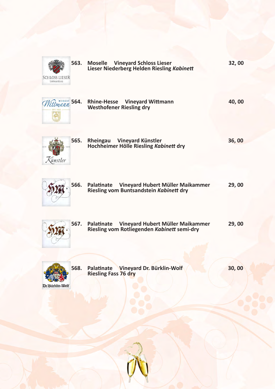| <b>SCHLOSS LIESER</b><br><b>THOMAS HAAG</b> | 563. | <b>Moselle</b> Vineyard Schloss Lieser<br>Lieser Niederberg Helden Riesling Kabinett          | 32,00 |
|---------------------------------------------|------|-----------------------------------------------------------------------------------------------|-------|
| ttmann                                      | 564. | Rhine-Hesse Vineyard Wittmann<br><b>Westhofener Riesling dry</b>                              | 40,00 |
| ünstler                                     | 565. | Rheingau Vineyard Künstler<br>Hochheimer Hölle Riesling Kabinett dry                          | 36,00 |
|                                             | 566. | Palatinate<br>Vineyard Hubert Müller Maikammer<br>Riesling vom Buntsandstein Kabinett dry     | 29,00 |
|                                             | 567. | Palatinate<br>Vineyard Hubert Müller Maikammer<br>Riesling vom Rotliegenden Kabinett semi-dry | 29,00 |
| Dr.Bürklin-Wolf                             | 568. | Vineyard Dr. Bürklin-Wolf<br>Palatinate<br><b>Riesling Fass 76 dry</b>                        | 30,00 |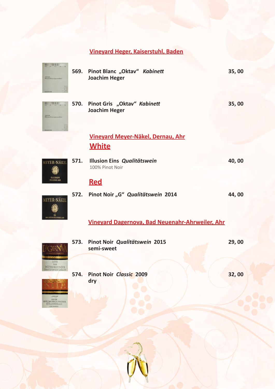## **Vineyard Heger, Kaiserstuhl, Baden**

| FRE.<br>annet<br>Weiterburgeunder   | <b>569.</b> | Pinot Blanc "Oktav" Kabinett<br><b>Joachim Heger</b>   | 35,00 |
|-------------------------------------|-------------|--------------------------------------------------------|-------|
| m ain.<br>inary<br>Genutianana make | 570.        | Pinot Gris "Oktav" Kabinett<br><b>Joachim Heger</b>    | 35,00 |
|                                     |             | Vineyard Meyer-Näkel, Dernau, Ahr                      |       |
|                                     |             | <u>White</u>                                           |       |
| MEYER-NÄKEL                         | 571.        | Illusion Eins Qualitätswein<br>100% Pinot Noir         | 40,00 |
|                                     |             | <u>Red</u>                                             |       |
| <b>MEYER-NÄKEL</b>                  | 572.        | Pinot Noir "G" Qualitätswein 2014                      | 44,00 |
|                                     |             | <b>Vinevard Dagernova, Bad Neuenahr-Ahrweiler, Ahr</b> |       |
|                                     | 573.        | Pinot Noir Qualitätswein 2015<br>semi-sweet            | 29,00 |
|                                     | 574.        | <b>Pinot Noir Classic 2009</b><br>dry                  | 32,00 |

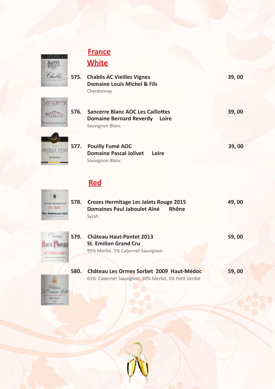| T. |  |
|----|--|
|    |  |

Sand

 $\sum_{i=1}^{n}$ hard Rs

POUILI  $_{\rm{L}\rm{B}}$   $_{\rm{L}}$ 

# **France White**

|                     |      | 575. Chablis AC Vieilles Vignes<br><b>Domaine Louis Michel &amp; Fils</b><br>Chardonnay                | 39,00 |
|---------------------|------|--------------------------------------------------------------------------------------------------------|-------|
| <b>JERDY et Fit</b> | 576. | <b>Sancerre Blanc AOC Les Caillottes</b><br><b>Domaine Bernard Reverdy</b><br>Loire<br>Sauvignon Blanc | 39,00 |
| sasters             | 577. | <b>Pouilly Fumé AOC</b><br><b>Domaine Pascal Jolivet</b><br>Loire<br>Sauvignon Blanc                   | 39,00 |

### **Red**

| <b>MITMEE</b>   | 578. Crozes Hermitage Les Jalets Rouge 2015 |              | 49,00 |
|-----------------|---------------------------------------------|--------------|-------|
| <b>LET AIME</b> | Domaines Paul Jaboulet Aîné<br>Svrah        | <b>Rhône</b> |       |



 $\circ$ **TROZIOS HIG**  $2a.9$ **IL JABOU** 

| 579. Château Haut-Pontet 2013     | 59,00 |
|-----------------------------------|-------|
| <b>St. Emilion Grand Cru</b>      |       |
| 95% Merlot, 5% Cabernet Sauvignon |       |

**580. Château Les Ormes Sorbet 2009 Haut-Médoc 59, 00** 65% Cabernet Sauvignon, 30% Merlot, 5% Petit Verdot

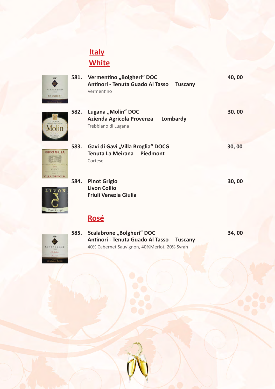# **Italy White**



**581. Vermentino "Bolgheri" DOC** 40, 00  **Antinori - Tenuta Guado Al Tasso Tuscany** Vermentino



**BROGLIA** 装置

GAVI **VILLA BROGLIA** 

| 582. | Lugana "Molin" DOC<br>Azienda Agricola Provenza<br>Lombardy<br>Trebbiano di Lugana | 30,00 |
|------|------------------------------------------------------------------------------------|-------|
| 583. | Gavi di Gavi "Villa Broglia" DOCG<br>Tenuta La Meirana Piedmont<br>Cortese         | 30,00 |



**584. Pinot Grigio 30, 00 Livon Collio Friuli Venezia Giulia** 

## **Rosé**



**585.** Scalabrone "Bolgheri" DOC 34, 00  **Antinori - Tenuta Guado Al Tasso Tuscany** 40% Cabernet Sauvignon, 40%Merlot, 20% Syrah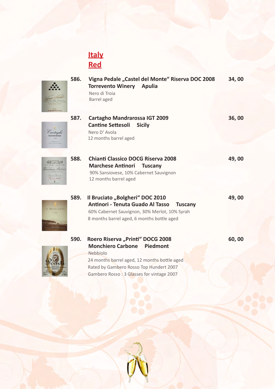

Gambero Rosso : 3 Glasses for vintage 2007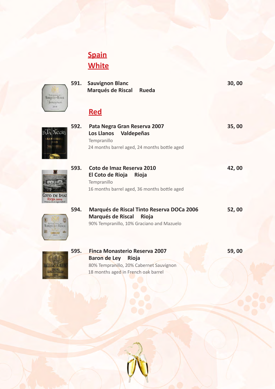# **Spain White**



**PAA Necra** 

M

 $\mathcal{L}(\mathbf{B}) = \mathbb{R}$ 

COTO DE IMAZ

vat

|      | 591. Sauvignon Blanc<br>Marqués de Riscal Rueda                                                                       | 30,00 |
|------|-----------------------------------------------------------------------------------------------------------------------|-------|
|      | <b>Red</b>                                                                                                            |       |
| 592. | Pata Negra Gran Reserva 2007<br>Los Llanos Valdepeñas<br>Tempranillo<br>24 months barrel aged, 24 months bottle aged  | 35,00 |
| 593. | Coto de Imaz Reserva 2010<br>El Coto de Rioja<br>Rioja<br>Tempranillo<br>16 months barrel aged, 36 months bottle aged | 42,00 |



| 594. | Marqués de Riscal Tinto Reserva DOCa 2006 | 52,00 |
|------|-------------------------------------------|-------|
|      | Marqués de Riscal Rioja                   |       |
|      | 90% Tempranillo, 10% Graciano and Mazuelo |       |



**595. Finca Monasterio Reserva 2007 59, 00 Baron de Ley Rioja** 80% Tempranillo, 20% Cabernet Sauvignon 18 months aged in French oak barrel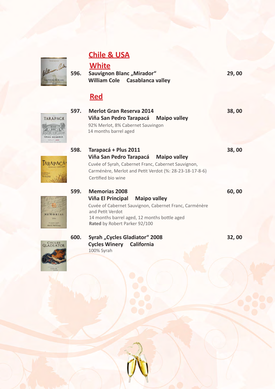#### **Chile & USA**





 **Cycles Winery California**  100% Syrah



GRAN RESERVA